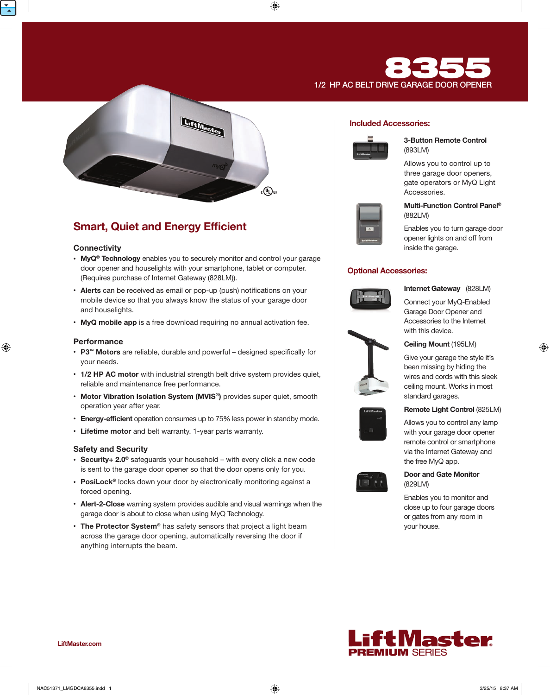



# **Smart, Quiet and Energy Efficient**

## **Connectivity**

- MyQ<sup>®</sup> Technology enables you to securely monitor and control your garage door opener and houselights with your smartphone, tablet or computer. (Requires purchase of Internet Gateway (828LM)).
- Alerts can be received as email or pop-up (push) notifications on your mobile device so that you always know the status of your garage door and houselights.
- MyQ mobile app is a free download requiring no annual activation fee.

## **Performance**

- P3<sup>™</sup> Motors are reliable, durable and powerful designed specifically for your needs.
- 1/2 HP AC motor with industrial strength belt drive system provides quiet, reliable and maintenance free performance.
- Motor Vibration Isolation System (MVIS®) provides super quiet, smooth operation year after year.
- Energy-efficient operation consumes up to 75% less power in standby mode.
- Lifetime motor and belt warranty. 1-year parts warranty.

## Safety and Security

- Security+ 2.0<sup>®</sup> safeguards your household with every click a new code is sent to the garage door opener so that the door opens only for you.
- PosiLock<sup>®</sup> locks down your door by electronically monitoring against a forced opening.
- Alert-2-Close warning system provides audible and visual warnings when the garage door is about to close when using MyQ Technology.
- The Protector System® has safety sensors that project a light beam across the garage door opening, automatically reversing the door if anything interrupts the beam.

## Included Accessories:



### 3-Button Remote Control (893LM)

Allows you to control up to three garage door openers, gate operators or MyQ Light Accessories.



## Multi-Function Control Panel® (882LM)

Enables you to turn garage door opener lights on and off from inside the garage.

## Optional Accessories:



Internet Gateway (828LM)

Connect your MyQ-Enabled Garage Door Opener and Accessories to the Internet with this device.



## Ceiling Mount (195LM)

Give your garage the style it's been missing by hiding the wires and cords with this sleek ceiling mount. Works in most standard garages.



Allows you to control any lamp with your garage door opener remote control or smartphone via the Internet Gateway and the free MyQ app.



## Door and Gate Monitor (829LM)

Enables you to monitor and close up to four garage doors or gates from any room in your house.